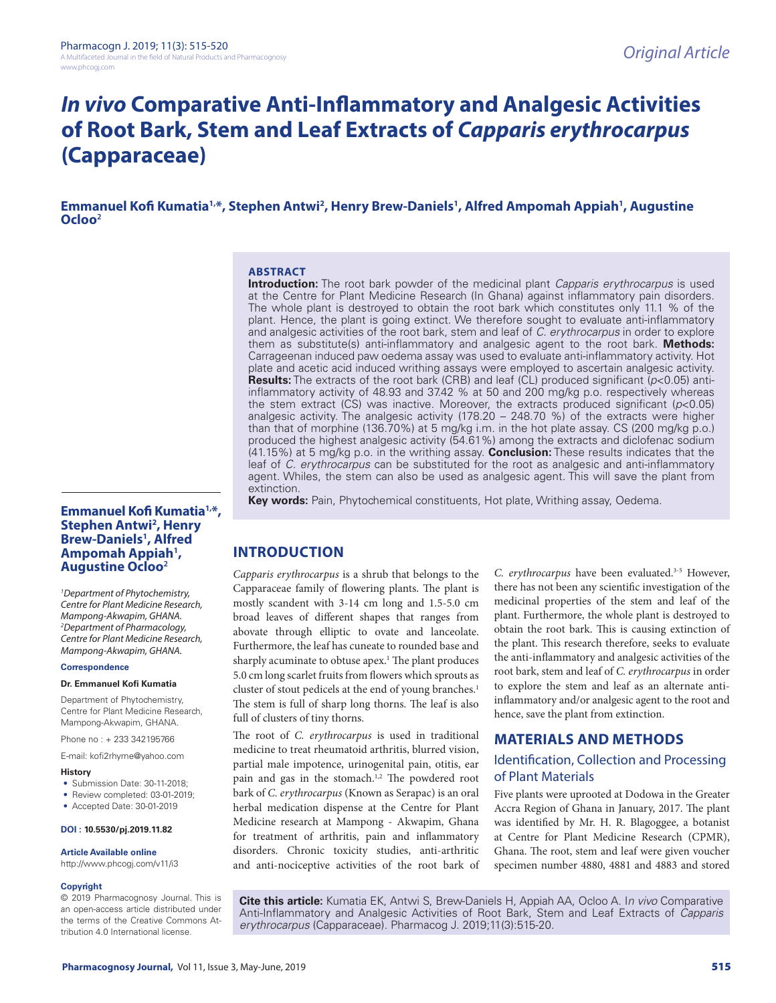## *In vivo* **Comparative Anti-Inflammatory and Analgesic Activities of Root Bark, Stem and Leaf Extracts of** *Capparis erythrocarpus*  **(Capparaceae)**

**Emmanuel Kofi Kumatia<sup>1,\*</sup>, Stephen Antwi<sup>2</sup>, Henry Brew-Daniels<sup>1</sup>, Alfred Ampomah Appiah<sup>1</sup>, Augustine Ocloo<sup>2</sup>**

#### **ABSTRACT**

**Introduction:** The root bark powder of the medicinal plant *Capparis erythrocarpus* is used at the Centre for Plant Medicine Research (In Ghana) against inflammatory pain disorders. The whole plant is destroyed to obtain the root bark which constitutes only 11.1 % of the plant. Hence, the plant is going extinct. We therefore sought to evaluate anti-inflammatory and analgesic activities of the root bark, stem and leaf of *C. erythrocarpus* in order to explore them as substitute(s) anti-inflammatory and analgesic agent to the root bark. **Methods:** Carrageenan induced paw oedema assay was used to evaluate anti-inflammatory activity. Hot plate and acetic acid induced writhing assays were employed to ascertain analgesic activity. **Results:** The extracts of the root bark (CRB) and leaf (CL) produced significant (*p*<0.05) antiinflammatory activity of 48.93 and 37.42 % at 50 and 200 mg/kg p.o. respectively whereas the stem extract (CS) was inactive. Moreover, the extracts produced significant (*p*<0.05) analgesic activity. The analgesic activity (178.20 – 248.70 %) of the extracts were higher than that of morphine (136.70%) at 5 mg/kg i.m. in the hot plate assay. CS (200 mg/kg p.o.) produced the highest analgesic activity (54.61%) among the extracts and diclofenac sodium (41.15%) at 5 mg/kg p.o. in the writhing assay. **Conclusion:** These results indicates that the leaf of *C. erythrocarpus* can be substituted for the root as analgesic and anti-inflammatory agent. Whiles, the stem can also be used as analgesic agent. This will save the plant from extinction.

**Key words:** Pain, Phytochemical constituents, Hot plate, Writhing assay, Oedema.

#### **Emmanuel Kofi Kumatia1,\*, Stephen Antwi2 , Henry Brew-Daniels1 , Alfred Ampomah Appiah1 , Augustine Ocloo<sup>2</sup>**

*1 Department of Phytochemistry, Centre for Plant Medicine Research, Mampong-Akwapim, GHANA. 2 Department of Pharmacology, Centre for Plant Medicine Research, Mampong-Akwapim, GHANA.*

#### **Correspondence**

#### **Dr. Emmanuel Kofi Kumatia**

Department of Phytochemistry, Centre for Plant Medicine Research, Mampong-Akwapim, GHANA.

Phone no : + 233 342195766

E-mail: kofi2rhyme@yahoo.com

#### **History**

- Submission Date: 30-11-2018;
- Review completed: 03-01-2019;
- Accepted Date: 30-01-2019

#### **DOI : 10.5530/pj.2019.11.82**

#### **Article Available online**

http://www.phcogj.com/v11/i3

#### **Copyright**

© 2019 Pharmacognosy Journal. This is an open-access article distributed under the terms of the Creative Commons Attribution 4.0 International license.

**INTRODUCTION**

*Capparis erythrocarpus* is a shrub that belongs to the Capparaceae family of flowering plants. The plant is mostly scandent with 3-14 cm long and 1.5-5.0 cm broad leaves of different shapes that ranges from abovate through elliptic to ovate and lanceolate. Furthermore, the leaf has cuneate to rounded base and sharply acuminate to obtuse apex.<sup>1</sup> The plant produces 5.0 cm long scarlet fruits from flowers which sprouts as cluster of stout pedicels at the end of young branches.<sup>1</sup> The stem is full of sharp long thorns. The leaf is also full of clusters of tiny thorns.

The root of *C. erythrocarpus* is used in traditional medicine to treat rheumatoid arthritis, blurred vision, partial male impotence, urinogenital pain, otitis, ear pain and gas in the stomach.<sup>1,2</sup> The powdered root bark of *C. erythrocarpus* (Known as Serapac) is an oral herbal medication dispense at the Centre for Plant Medicine research at Mampong - Akwapim, Ghana for treatment of arthritis, pain and inflammatory disorders. Chronic toxicity studies, anti-arthritic and anti-nociceptive activities of the root bark of

*C. erythrocarpus* have been evaluated.3-5 However, there has not been any scientific investigation of the medicinal properties of the stem and leaf of the plant. Furthermore, the whole plant is destroyed to obtain the root bark. This is causing extinction of the plant. This research therefore, seeks to evaluate the anti-inflammatory and analgesic activities of the root bark, stem and leaf of *C. erythrocarpus* in order to explore the stem and leaf as an alternate antiinflammatory and/or analgesic agent to the root and hence, save the plant from extinction.

#### **MATERIALS AND METHODS**

## Identification, Collection and Processing of Plant Materials

Five plants were uprooted at Dodowa in the Greater Accra Region of Ghana in January, 2017. The plant was identified by Mr. H. R. Blagoggee, a botanist at Centre for Plant Medicine Research (CPMR), Ghana. The root, stem and leaf were given voucher specimen number 4880, 4881 and 4883 and stored

**Cite this article:** Kumatia EK, Antwi S, Brew-Daniels H, Appiah AA, Ocloo A. I*n vivo* Comparative Anti-Inflammatory and Analgesic Activities of Root Bark, Stem and Leaf Extracts of *Capparis erythrocarpus* (Capparaceae). Pharmacog J. 2019;11(3):515-20.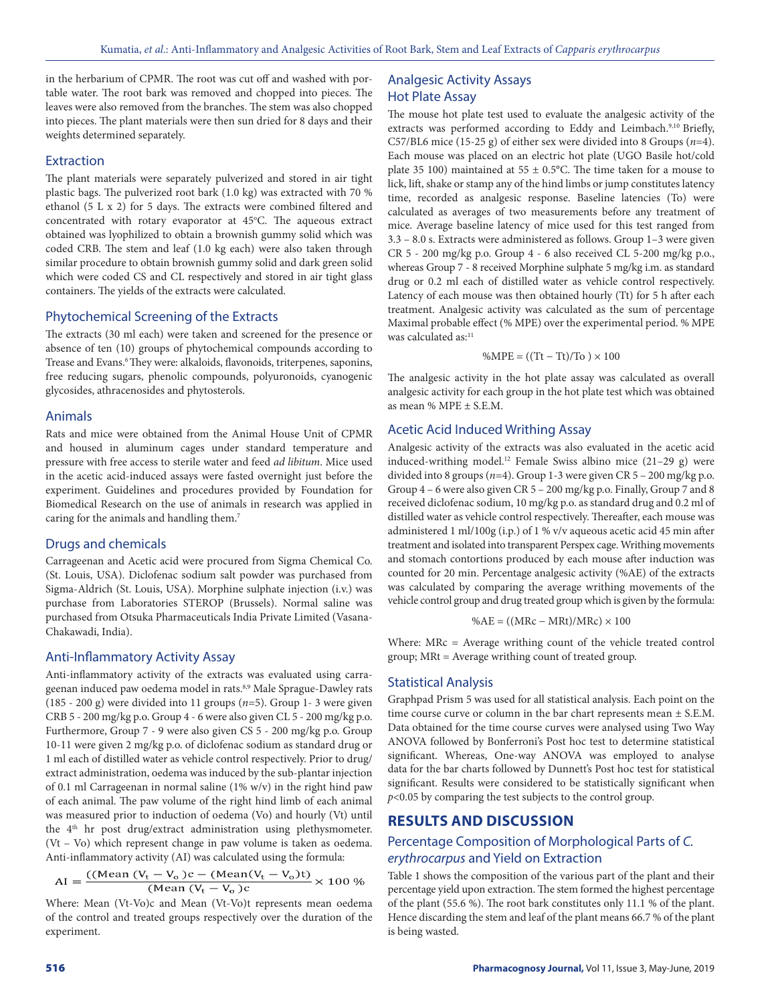in the herbarium of CPMR. The root was cut off and washed with portable water. The root bark was removed and chopped into pieces. The leaves were also removed from the branches. The stem was also chopped into pieces. The plant materials were then sun dried for 8 days and their weights determined separately.

#### **Extraction**

The plant materials were separately pulverized and stored in air tight plastic bags. The pulverized root bark (1.0 kg) was extracted with 70 % ethanol (5 L x 2) for 5 days. The extracts were combined filtered and concentrated with rotary evaporator at 45°C. The aqueous extract obtained was lyophilized to obtain a brownish gummy solid which was coded CRB. The stem and leaf (1.0 kg each) were also taken through similar procedure to obtain brownish gummy solid and dark green solid which were coded CS and CL respectively and stored in air tight glass containers. The yields of the extracts were calculated.

#### Phytochemical Screening of the Extracts

The extracts (30 ml each) were taken and screened for the presence or absence of ten (10) groups of phytochemical compounds according to Trease and Evans.<sup>6</sup> They were: alkaloids, flavonoids, triterpenes, saponins, free reducing sugars, phenolic compounds, polyuronoids, cyanogenic glycosides, athracenosides and phytosterols.

#### Animals

Rats and mice were obtained from the Animal House Unit of CPMR and housed in aluminum cages under standard temperature and pressure with free access to sterile water and feed *ad libitum*. Mice used in the acetic acid-induced assays were fasted overnight just before the experiment. Guidelines and procedures provided by Foundation for Biomedical Research on the use of animals in research was applied in caring for the animals and handling them. 7

#### Drugs and chemicals

Carrageenan and Acetic acid were procured from Sigma Chemical Co. (St. Louis, USA). Diclofenac sodium salt powder was purchased from Sigma-Aldrich (St. Louis, USA). Morphine sulphate injection (i.v.) was purchase from Laboratories STEROP (Brussels). Normal saline was purchased from Otsuka Pharmaceuticals India Private Limited (Vasana-Chakawadi, India).

#### Anti-Inflammatory Activity Assay

Anti-inflammatory activity of the extracts was evaluated using carrageenan induced paw oedema model in rats.<sup>8,9</sup> Male Sprague-Dawley rats (185 - 200 g) were divided into 11 groups (*n*=5). Group 1- 3 were given CRB 5 - 200 mg/kg p.o. Group 4 - 6 were also given CL 5 - 200 mg/kg p.o. Furthermore, Group 7 - 9 were also given CS 5 - 200 mg/kg p.o. Group 10-11 were given 2 mg/kg p.o. of diclofenac sodium as standard drug or 1 ml each of distilled water as vehicle control respectively. Prior to drug/ extract administration, oedema was induced by the sub-plantar injection of 0.1 ml Carrageenan in normal saline (1% w/v) in the right hind paw of each animal. The paw volume of the right hind limb of each animal was measured prior to induction of oedema (Vo) and hourly (Vt) until the 4<sup>th</sup> hr post drug/extract administration using plethysmometer. (Vt – Vo) which represent change in paw volume is taken as oedema. Anti-inflammatory activity (AI) was calculated using the formula:

$$
AI = \frac{((Mean (V_t - V_o)c - (Mean(V_t - V_o)t)}{(Mean (V_t - V_o)c)} \times 100 %
$$

Where: Mean (Vt-Vo)c and Mean (Vt-Vo)t represents mean oedema of the control and treated groups respectively over the duration of the experiment.

#### Analgesic Activity Assays Hot Plate Assay

The mouse hot plate test used to evaluate the analgesic activity of the extracts was performed according to Eddy and Leimbach.<sup>9,10</sup> Briefly, C57/BL6 mice (15-25 g) of either sex were divided into 8 Groups (*n*=4). Each mouse was placed on an electric hot plate (UGO Basile hot/cold plate 35 100) maintained at 55  $\pm$  0.5°C. The time taken for a mouse to lick, lift, shake or stamp any of the hind limbs or jump constitutes latency time, recorded as analgesic response. Baseline latencies (To) were calculated as averages of two measurements before any treatment of mice. Average baseline latency of mice used for this test ranged from 3.3 – 8.0 s. Extracts were administered as follows. Group 1–3 were given CR 5 - 200 mg/kg p.o. Group 4 - 6 also received CL 5-200 mg/kg p.o., whereas Group 7 - 8 received Morphine sulphate 5 mg/kg i.m. as standard drug or 0.2 ml each of distilled water as vehicle control respectively. Latency of each mouse was then obtained hourly (Tt) for 5 h after each treatment. Analgesic activity was calculated as the sum of percentage Maximal probable effect (% MPE) over the experimental period. % MPE was calculated as:<sup>11</sup>

$$
\%MPE = ((Tt - Tt)/To) \times 100
$$

The analgesic activity in the hot plate assay was calculated as overall analgesic activity for each group in the hot plate test which was obtained as mean % MPE ± S.E.M.

#### Acetic Acid Induced Writhing Assay

Analgesic activity of the extracts was also evaluated in the acetic acid induced-writhing model.<sup>12</sup> Female Swiss albino mice  $(21-29)$  g) were divided into 8 groups (*n*=4). Group 1-3 were given CR 5 – 200 mg/kg p.o. Group 4 – 6 were also given CR 5 – 200 mg/kg p.o. Finally, Group 7 and 8 received diclofenac sodium, 10 mg/kg p.o. as standard drug and 0.2 ml of distilled water as vehicle control respectively. Thereafter, each mouse was administered 1 ml/100g (i.p.) of 1 % v/v aqueous acetic acid 45 min after treatment and isolated into transparent Perspex cage. Writhing movements and stomach contortions produced by each mouse after induction was counted for 20 min. Percentage analgesic activity (%AE) of the extracts was calculated by comparing the average writhing movements of the vehicle control group and drug treated group which is given by the formula:

$$
\%AE = ((MRc - MRt)/MRc) \times 100
$$

Where: MRc = Average writhing count of the vehicle treated control group; MRt = Average writhing count of treated group.

#### Statistical Analysis

Graphpad Prism 5 was used for all statistical analysis. Each point on the time course curve or column in the bar chart represents mean  $\pm$  S.E.M. Data obtained for the time course curves were analysed using Two Way ANOVA followed by Bonferroni's Post hoc test to determine statistical significant. Whereas, One-way ANOVA was employed to analyse data for the bar charts followed by Dunnett's Post hoc test for statistical significant. Results were considered to be statistically significant when *p*<0.05 by comparing the test subjects to the control group*.*

### **RESULTS AND DISCUSSION**

#### Percentage Composition of Morphological Parts of *C. erythrocarpus* and Yield on Extraction

Table 1 shows the composition of the various part of the plant and their percentage yield upon extraction. The stem formed the highest percentage of the plant (55.6 %). The root bark constitutes only 11.1 % of the plant. Hence discarding the stem and leaf of the plant means 66.7 % of the plant is being wasted.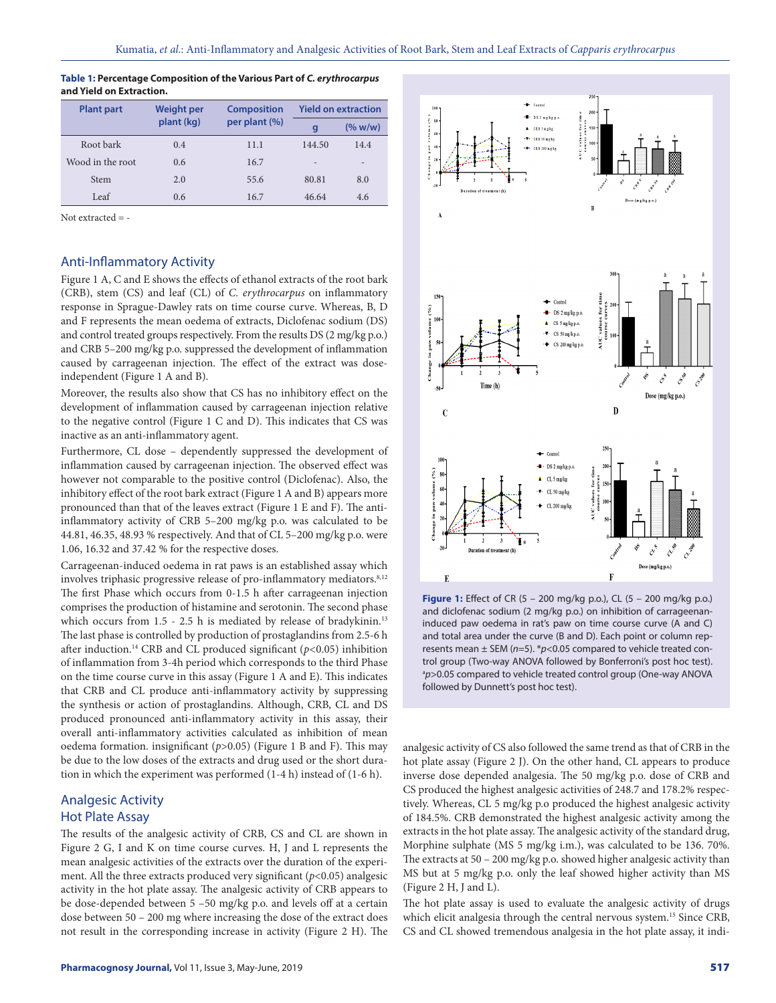| <b>Plant part</b> | <b>Weight per</b> | <b>Composition</b><br>per plant (%) | <b>Yield on extraction</b> |                 |
|-------------------|-------------------|-------------------------------------|----------------------------|-----------------|
|                   | plant (kg)        |                                     | q                          | (% w/w)         |
| Root bark         | 0.4               | 11.1                                | 144.50                     | 14.4            |
| Wood in the root  | 0.6               | 16.7                                | $\overline{a}$             | $\qquad \qquad$ |
| Stem              | 2.0               | 55.6                                | 80.81                      | 8.0             |
| Leaf              | 0.6               | 16.7                                | 46.64                      | 4.6             |

#### **Table 1: Percentage Composition of the Various Part of** *C. erythrocarpus*  **and Yield on Extraction.**

Not extracted = -

#### Anti-Inflammatory Activity

Figure 1 A, C and E shows the effects of ethanol extracts of the root bark (CRB), stem (CS) and leaf (CL) of *C. erythrocarpus* on inflammatory response in Sprague-Dawley rats on time course curve. Whereas, B, D and F represents the mean oedema of extracts, Diclofenac sodium (DS) and control treated groups respectively. From the results DS (2 mg/kg p.o.) and CRB 5–200 mg/kg p.o. suppressed the development of inflammation caused by carrageenan injection. The effect of the extract was doseindependent (Figure 1 A and B).

Moreover, the results also show that CS has no inhibitory effect on the development of inflammation caused by carrageenan injection relative to the negative control (Figure 1 C and D). This indicates that CS was inactive as an anti-inflammatory agent.

Furthermore, CL dose – dependently suppressed the development of inflammation caused by carrageenan injection. The observed effect was however not comparable to the positive control (Diclofenac). Also, the inhibitory effect of the root bark extract (Figure 1 A and B) appears more pronounced than that of the leaves extract (Figure 1 E and F). The antiinflammatory activity of CRB 5–200 mg/kg p.o. was calculated to be 44.81, 46.35, 48.93 % respectively. And that of CL 5–200 mg/kg p.o. were 1.06, 16.32 and 37.42 % for the respective doses.

Carrageenan-induced oedema in rat paws is an established assay which involves triphasic progressive release of pro-inflammatory mediators.<sup>8,12</sup> The first Phase which occurs from 0-1.5 h after carrageenan injection comprises the production of histamine and serotonin. The second phase which occurs from 1.5 - 2.5 h is mediated by release of bradykinin.<sup>13</sup> The last phase is controlled by production of prostaglandins from 2.5-6 h after induction.14 CRB and CL produced significant (*p<*0.05) inhibition of inflammation from 3-4h period which corresponds to the third Phase on the time course curve in this assay (Figure 1 A and E). This indicates that CRB and CL produce anti-inflammatory activity by suppressing the synthesis or action of prostaglandins. Although, CRB, CL and DS produced pronounced anti-inflammatory activity in this assay, their overall anti-inflammatory activities calculated as inhibition of mean oedema formation. insignificant (*p*>0.05) (Figure 1 B and F). This may be due to the low doses of the extracts and drug used or the short duration in which the experiment was performed (1-4 h) instead of (1-6 h).

## Analgesic Activity Hot Plate Assay

The results of the analgesic activity of CRB, CS and CL are shown in Figure 2 G, I and K on time course curves. H, J and L represents the mean analgesic activities of the extracts over the duration of the experiment. All the three extracts produced very significant (*p*<0.05) analgesic activity in the hot plate assay. The analgesic activity of CRB appears to be dose-depended between 5 –50 mg/kg p.o. and levels off at a certain dose between 50 – 200 mg where increasing the dose of the extract does not result in the corresponding increase in activity (Figure 2 H). The



**Figure 1:** Effect of CR (5 – 200 mg/kg p.o.), CL (5 – 200 mg/kg p.o.) and diclofenac sodium (2 mg/kg p.o.) on inhibition of carrageenaninduced paw oedema in rat's paw on time course curve (A and C) and total area under the curve (B and D). Each point or column represents mean ± SEM (*n*=5). \**p*<0.05 compared to vehicle treated control group (Two-way ANOVA followed by Bonferroni's post hoc test). <sup>a</sup>p>0.05 compared to vehicle treated control group (One-way ANOVA followed by Dunnett's post hoc test).

analgesic activity of CS also followed the same trend as that of CRB in the hot plate assay (Figure 2 J). On the other hand, CL appears to produce inverse dose depended analgesia. The 50 mg/kg p.o. dose of CRB and CS produced the highest analgesic activities of 248.7 and 178.2% respectively. Whereas, CL 5 mg/kg p.o produced the highest analgesic activity of 184.5%. CRB demonstrated the highest analgesic activity among the extracts in the hot plate assay. The analgesic activity of the standard drug, Morphine sulphate (MS 5 mg/kg i.m.), was calculated to be 136. 70%. The extracts at 50 – 200 mg/kg p.o. showed higher analgesic activity than MS but at 5 mg/kg p.o. only the leaf showed higher activity than MS (Figure 2 H, J and L).

The hot plate assay is used to evaluate the analgesic activity of drugs which elicit analgesia through the central nervous system.<sup>15</sup> Since CRB, CS and CL showed tremendous analgesia in the hot plate assay, it indi-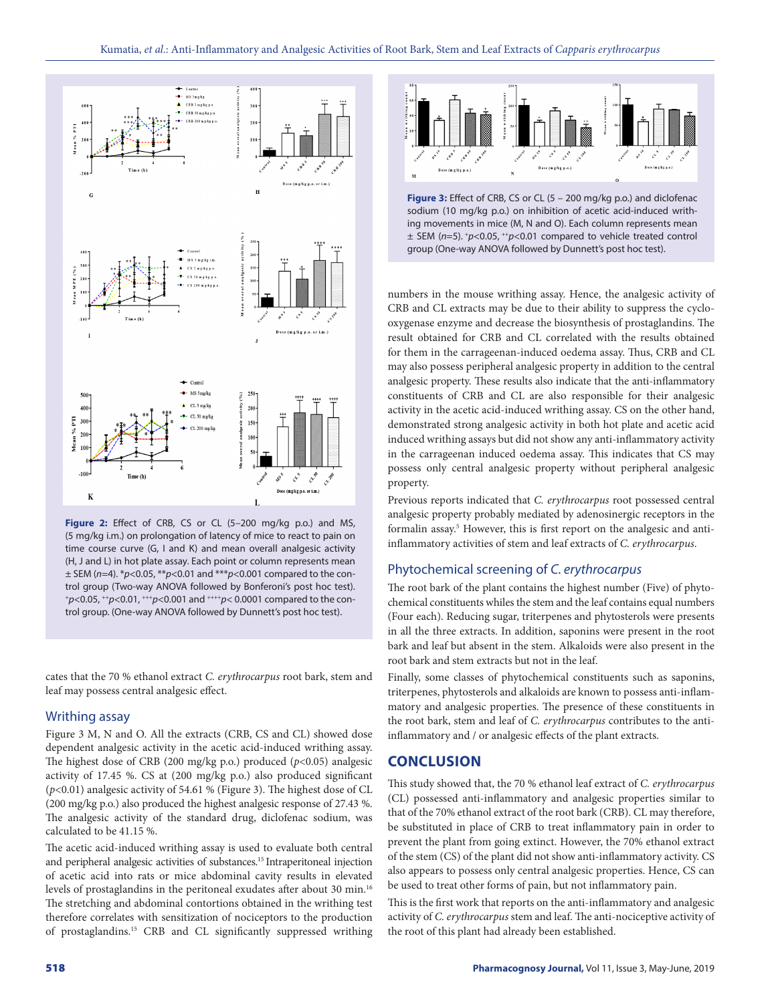

**Figure 2:** Effect of CRB, CS or CL (5–200 mg/kg p.o.) and MS, (5 mg/kg i.m.) on prolongation of latency of mice to react to pain on time course curve (G, I and K) and mean overall analgesic activity (H, J and L) in hot plate assay. Each point or column represents mean ± SEM (*n*=4). \**p*<0.05, \*\**p*<0.01 and \*\*\**p*<0.001 compared to the control group (Two-way ANOVA followed by Bonferoni's post hoc test). +*p*<0.05, ++*p*<0.01, +++*p*<0.001 and ++++*p*< 0.0001 compared to the control group. (One-way ANOVA followed by Dunnett's post hoc test).

cates that the 70 % ethanol extract *C. erythrocarpus* root bark, stem and leaf may possess central analgesic effect.

#### Writhing assay

Figure 3 M, N and O. All the extracts (CRB, CS and CL) showed dose dependent analgesic activity in the acetic acid-induced writhing assay. The highest dose of CRB (200 mg/kg p.o.) produced (*p*<0.05) analgesic activity of 17.45 %. CS at (200 mg/kg p.o.) also produced significant (*p*<0.01) analgesic activity of 54.61 % (Figure 3). The highest dose of CL (200 mg/kg p.o.) also produced the highest analgesic response of 27.43 %. The analgesic activity of the standard drug, diclofenac sodium, was calculated to be 41.15 %.

The acetic acid-induced writhing assay is used to evaluate both central and peripheral analgesic activities of substances.15 Intraperitoneal injection of acetic acid into rats or mice abdominal cavity results in elevated levels of prostaglandins in the peritoneal exudates after about 30 min.16 The stretching and abdominal contortions obtained in the writhing test therefore correlates with sensitization of nociceptors to the production of prostaglandins.15 CRB and CL significantly suppressed writhing



**Figure 3:** Effect of CRB, CS or CL (5 – 200 mg/kg p.o.) and diclofenac sodium (10 mg/kg p.o.) on inhibition of acetic acid-induced writhing movements in mice (M, N and O). Each column represents mean ± SEM (*n*=5). +*p*<0.05, ++*p*<0.01 compared to vehicle treated control group (One-way ANOVA followed by Dunnett's post hoc test).

numbers in the mouse writhing assay. Hence, the analgesic activity of CRB and CL extracts may be due to their ability to suppress the cyclooxygenase enzyme and decrease the biosynthesis of prostaglandins. The result obtained for CRB and CL correlated with the results obtained for them in the carrageenan-induced oedema assay. Thus, CRB and CL may also possess peripheral analgesic property in addition to the central analgesic property. These results also indicate that the anti-inflammatory constituents of CRB and CL are also responsible for their analgesic activity in the acetic acid-induced writhing assay. CS on the other hand, demonstrated strong analgesic activity in both hot plate and acetic acid induced writhing assays but did not show any anti-inflammatory activity in the carrageenan induced oedema assay. This indicates that CS may possess only central analgesic property without peripheral analgesic property.

Previous reports indicated that *C. erythrocarpus* root possessed central analgesic property probably mediated by adenosinergic receptors in the formalin assay.<sup>5</sup> However, this is first report on the analgesic and antiinflammatory activities of stem and leaf extracts of *C. erythrocarpus*.

#### Phytochemical screening of *C. erythrocarpus*

The root bark of the plant contains the highest number (Five) of phytochemical constituents whiles the stem and the leaf contains equal numbers (Four each). Reducing sugar, triterpenes and phytosterols were presents in all the three extracts. In addition, saponins were present in the root bark and leaf but absent in the stem. Alkaloids were also present in the root bark and stem extracts but not in the leaf.

Finally, some classes of phytochemical constituents such as saponins, triterpenes, phytosterols and alkaloids are known to possess anti-inflammatory and analgesic properties. The presence of these constituents in the root bark, stem and leaf of *C. erythrocarpus* contributes to the antiinflammatory and / or analgesic effects of the plant extracts.

#### **CONCLUSION**

This study showed that, the 70 % ethanol leaf extract of *C. erythrocarpus*  (CL) possessed anti-inflammatory and analgesic properties similar to that of the 70% ethanol extract of the root bark (CRB). CL may therefore, be substituted in place of CRB to treat inflammatory pain in order to prevent the plant from going extinct. However, the 70% ethanol extract of the stem (CS) of the plant did not show anti-inflammatory activity. CS also appears to possess only central analgesic properties. Hence, CS can be used to treat other forms of pain, but not inflammatory pain.

This is the first work that reports on the anti-inflammatory and analgesic activity of *C. erythrocarpus* stem and leaf. The anti-nociceptive activity of the root of this plant had already been established.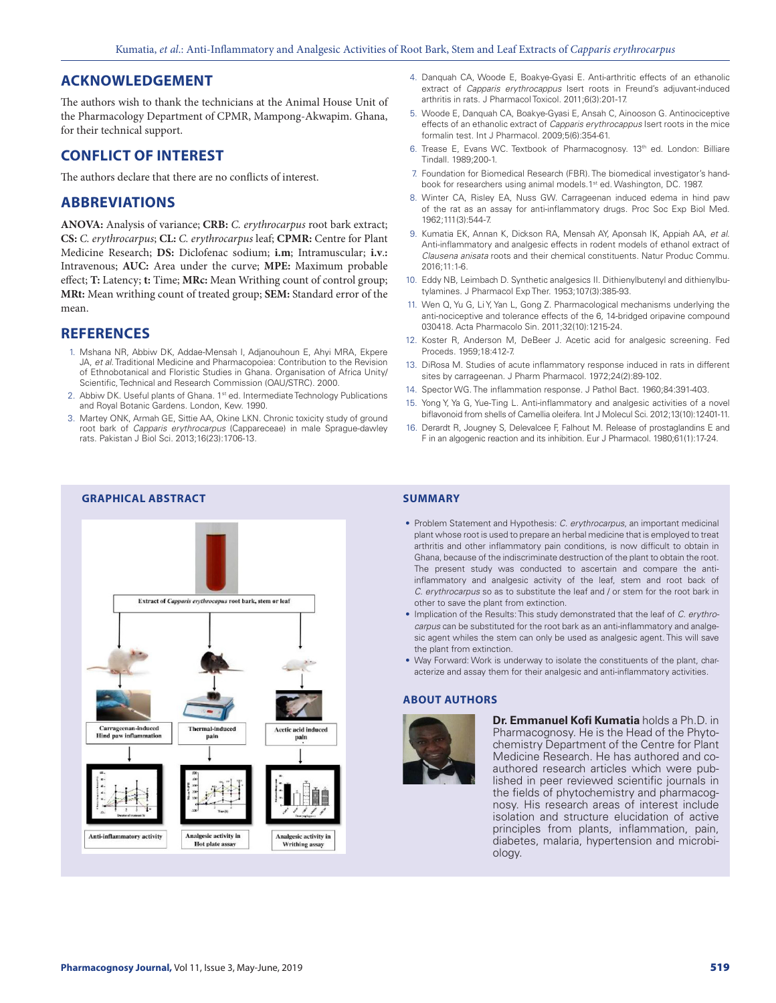## **ACKNOWLEDGEMENT**

The authors wish to thank the technicians at the Animal House Unit of the Pharmacology Department of CPMR, Mampong-Akwapim. Ghana, for their technical support.

## **CONFLICT OF INTEREST**

The authors declare that there are no conflicts of interest.

## **ABBREVIATIONS**

**ANOVA:** Analysis of variance; **CRB:** *C. erythrocarpus* root bark extract; **CS:** *C. erythrocarpus*; **CL:** *C. erythrocarpus* leaf; **CPMR:** Centre for Plant Medicine Research; **DS:** Diclofenac sodium; **i.m**; Intramuscular; **i.v**.**:** Intravenous; **AUC:** Area under the curve; **MPE:** Maximum probable effect; **T:** Latency; **t:** Time; **MRc:** Mean Writhing count of control group; **MRt:** Mean writhing count of treated group; **SEM:** Standard error of the mean.

#### **REFERENCES**

- 1. Mshana NR, Abbiw DK, Addae-Mensah I, Adjanouhoun E, Ahyi MRA, Ekpere JA, *et al.* Traditional Medicine and Pharmacopoiea: Contribution to the Revision of Ethnobotanical and Floristic Studies in Ghana. Organisation of Africa Unity/ Scientific, Technical and Research Commission (OAU/STRC). 2000.
- 2. Abbiw DK. Useful plants of Ghana. 1<sup>st</sup> ed. Intermediate Technology Publications and Royal Botanic Gardens. London, Kew. 1990.
- 3. Martey ONK, Armah GE, Sittie AA, Okine LKN. Chronic toxicity study of ground root bark of *Capparis erythrocarpus* (Cappareceae) in male Sprague-dawley rats. Pakistan J Biol Sci. 2013;16(23):1706-13.
- 4. Danquah CA, Woode E, Boakye-Gyasi E. Anti-arthritic effects of an ethanolic extract of *Capparis erythrocappus* Isert roots in Freund's adjuvant-induced arthritis in rats. J Pharmacol Toxicol. 2011;6(3):201-17.
- 5. Woode E, Danquah CA, Boakye-Gyasi E, Ansah C, Ainooson G. Antinociceptive effects of an ethanolic extract of *Capparis erythrocappus* Isert roots in the mice formalin test. Int J Pharmacol. 2009;5(6):354-61.
- 6. Trease E, Evans WC. Textbook of Pharmacognosy. 13<sup>th</sup> ed. London: Billiare Tindall. 1989;200-1.
- 7. Foundation for Biomedical Research (FBR). The biomedical investigator's handbook for researchers using animal models.1<sup>st</sup> ed. Washington, DC. 1987.
- 8. Winter CA, Risley EA, Nuss GW. Carrageenan induced edema in hind paw of the rat as an assay for anti-inflammatory drugs. Proc Soc Exp Biol Med. 1962;111(3):544-7.
- 9. Kumatia EK, Annan K, Dickson RA, Mensah AY, Aponsah IK, Appiah AA, *et al*. Anti-inflammatory and analgesic effects in rodent models of ethanol extract of *Clausena anisata* roots and their chemical constituents. Natur Produc Commu. 2016;11:1-6.
- 10. Eddy NB, Leimbach D. Synthetic analgesics II. Dithienylbutenyl and dithienylbutylamines. J Pharmacol Exp Ther. 1953;107(3):385-93.
- 11. Wen Q, Yu G, Li Y, Yan L, Gong Z. Pharmacological mechanisms underlying the anti-nociceptive and tolerance effects of the 6, 14-bridged oripavine compound 030418. Acta Pharmacolo Sin. 2011;32(10):1215-24.
- 12. Koster R, Anderson M, DeBeer J. Acetic acid for analgesic screening. Fed Proceds. 1959;18:412-7.
- 13. DiRosa M. Studies of acute inflammatory response induced in rats in different sites by carrageenan. J Pharm Pharmacol. 1972;24(2):89-102.
- 14. Spector WG. The inflammation response. J Pathol Bact. 1960;84:391-403.
- 15. Yong Y, Ya G, Yue-Ting L. Anti-inflammatory and analgesic activities of a novel biflavonoid from shells of Camellia oleifera. Int J Molecul Sci. 2012;13(10):12401-11.
- 16. Derardt R, Jougney S, Delevalcee F, Falhout M. Release of prostaglandins E and F in an algogenic reaction and its inhibition. Eur J Pharmacol. 1980;61(1):17-24.

# Extract of Capparis erythrocapus root bark, stem or leaf induced Thermal-induced Acetic acid induced **Carrageenan-mouce**<br>Hind paw inflammati pair pain Anti-inflammatory activity Analgesic activity in **Analgesic activity in Hot plate assay** Writhing assay

#### **GRAPHICAL ABSTRACT SUMMARY**

- Problem Statement and Hypothesis: *C. erythrocarpus*, an important medicinal plant whose root is used to prepare an herbal medicine that is employed to treat arthritis and other inflammatory pain conditions, is now difficult to obtain in Ghana, because of the indiscriminate destruction of the plant to obtain the root. The present study was conducted to ascertain and compare the antiinflammatory and analgesic activity of the leaf, stem and root back of *C. erythrocarpus* so as to substitute the leaf and / or stem for the root bark in other to save the plant from extinction.
- Implication of the Results: This study demonstrated that the leaf of *C. erythrocarpus* can be substituted for the root bark as an anti-inflammatory and analgesic agent whiles the stem can only be used as analgesic agent. This will save the plant from extinction.
- Way Forward: Work is underway to isolate the constituents of the plant, characterize and assay them for their analgesic and anti-inflammatory activities.

#### **ABOUT AUTHORS**



**Dr. Emmanuel Kofi Kumatia** holds a Ph.D. in Pharmacognosy. He is the Head of the Phytochemistry Department of the Centre for Plant Medicine Research. He has authored and coauthored research articles which were published in peer reviewed scientific journals in the fields of phytochemistry and pharmacognosy. His research areas of interest include isolation and structure elucidation of active principles from plants, inflammation, pain, diabetes, malaria, hypertension and microbiology.